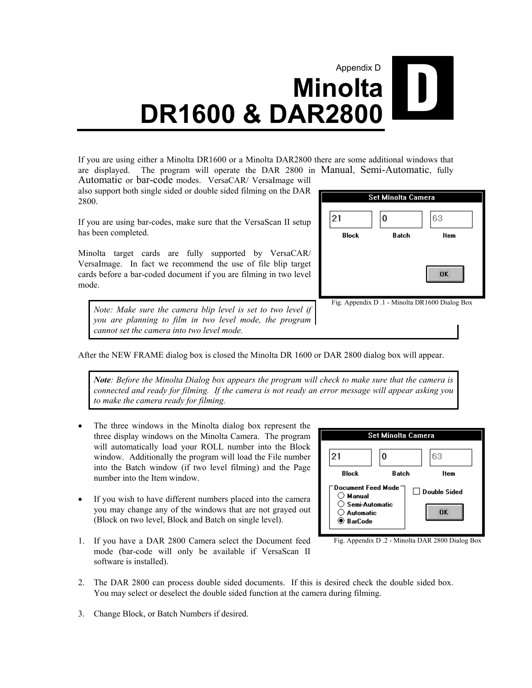## Appendix D  $\begin{bmatrix} 1 \end{bmatrix}$ **Minolta DR1600 & DAR2800**

If you are using either a Minolta DR1600 or a Minolta DAR2800 there are some additional windows that are displayed. The program will operate the DAR 2800 in Manual, Semi-Automatic, fully Automatic or bar-code modes. VersaCAR/ VersaImage will

also support both single sided or double sided filming on the DAR 2800.

If you are using bar-codes, make sure that the VersaScan II setup has been completed.

Minolta target cards are fully supported by VersaCAR/ VersaImage. In fact we recommend the use of file blip target cards before a bar-coded document if you are filming in two level mode.

*Note: Make sure the camera blip level is set to two level if you are planning to film in two level mode, the program cannot set the camera into two level mode.* 



After the NEW FRAME dialog box is closed the Minolta DR 1600 or DAR 2800 dialog box will appear.

*Note: Before the Minolta Dialog box appears the program will check to make sure that the camera is connected and ready for filming. If the camera is not ready an error message will appear asking you to make the camera ready for filming.*

- The three windows in the Minolta dialog box represent the three display windows on the Minolta Camera. The program will automatically load your ROLL number into the Block window. Additionally the program will load the File number into the Batch window (if two level filming) and the Page number into the Item window.
- If you wish to have different numbers placed into the camera you may change any of the windows that are not grayed out (Block on two level, Block and Batch on single level).
- 1. If you have a DAR 2800 Camera select the Document feed mode (bar-code will only be available if VersaScan II software is installed).



Fig. Appendix D .2 - Minolta DAR 2800 Dialog Box

- 2. The DAR 2800 can process double sided documents. If this is desired check the double sided box. You may select or deselect the double sided function at the camera during filming.
- 3. Change Block, or Batch Numbers if desired.